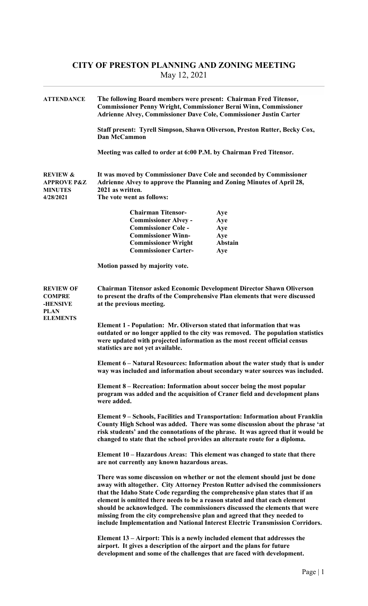## CITY OF PRESTON PLANNING AND ZONING MEETING May 12, 2021

| <b>ATTENDANCE</b>                                                                      | The following Board members were present: Chairman Fred Titensor,<br><b>Commissioner Penny Wright, Commissioner Berni Winn, Commissioner</b><br>Adrienne Alvey, Commissioner Dave Cole, Commissioner Justin Carter<br>Staff present: Tyrell Simpson, Shawn Oliverson, Preston Rutter, Becky Cox,<br>Dan McCammon                                                                                                                                                                                                                                                    |                |  |  |
|----------------------------------------------------------------------------------------|---------------------------------------------------------------------------------------------------------------------------------------------------------------------------------------------------------------------------------------------------------------------------------------------------------------------------------------------------------------------------------------------------------------------------------------------------------------------------------------------------------------------------------------------------------------------|----------------|--|--|
|                                                                                        |                                                                                                                                                                                                                                                                                                                                                                                                                                                                                                                                                                     |                |  |  |
|                                                                                        | Meeting was called to order at 6:00 P.M. by Chairman Fred Titensor.                                                                                                                                                                                                                                                                                                                                                                                                                                                                                                 |                |  |  |
| <b>REVIEW &amp;</b><br><b>APPROVE P&amp;Z</b><br><b>MINUTES</b><br>4/28/2021           | It was moved by Commissioner Dave Cole and seconded by Commissioner<br>Adrienne Alvey to approve the Planning and Zoning Minutes of April 28,<br>2021 as written.<br>The vote went as follows:                                                                                                                                                                                                                                                                                                                                                                      |                |  |  |
|                                                                                        |                                                                                                                                                                                                                                                                                                                                                                                                                                                                                                                                                                     |                |  |  |
|                                                                                        | <b>Chairman Titensor-</b><br><b>Commissioner Alvey -</b>                                                                                                                                                                                                                                                                                                                                                                                                                                                                                                            | Aye            |  |  |
|                                                                                        | <b>Commissioner Cole -</b>                                                                                                                                                                                                                                                                                                                                                                                                                                                                                                                                          | Aye<br>Aye     |  |  |
|                                                                                        | <b>Commissioner Winn-</b>                                                                                                                                                                                                                                                                                                                                                                                                                                                                                                                                           | Aye            |  |  |
|                                                                                        | <b>Commissioner Wright</b>                                                                                                                                                                                                                                                                                                                                                                                                                                                                                                                                          | <b>Abstain</b> |  |  |
|                                                                                        | <b>Commissioner Carter-</b>                                                                                                                                                                                                                                                                                                                                                                                                                                                                                                                                         | Aye            |  |  |
|                                                                                        | Motion passed by majority vote.                                                                                                                                                                                                                                                                                                                                                                                                                                                                                                                                     |                |  |  |
| <b>REVIEW OF</b><br><b>COMPRE</b><br><b>-HENSIVE</b><br><b>PLAN</b><br><b>ELEMENTS</b> | Chairman Titensor asked Economic Development Director Shawn Oliverson<br>to present the drafts of the Comprehensive Plan elements that were discussed<br>at the previous meeting.                                                                                                                                                                                                                                                                                                                                                                                   |                |  |  |
|                                                                                        | Element 1 - Population: Mr. Oliverson stated that information that was<br>outdated or no longer applied to the city was removed. The population statistics<br>were updated with projected information as the most recent official census<br>statistics are not yet available.                                                                                                                                                                                                                                                                                       |                |  |  |
|                                                                                        | Element 6 – Natural Resources: Information about the water study that is under<br>way was included and information about secondary water sources was included.                                                                                                                                                                                                                                                                                                                                                                                                      |                |  |  |
|                                                                                        | Element 8 – Recreation: Information about soccer being the most popular<br>program was added and the acquisition of Craner field and development plans<br>were added.                                                                                                                                                                                                                                                                                                                                                                                               |                |  |  |
|                                                                                        | <b>Element 9 – Schools, Facilities and Transportation: Information about Franklin</b><br>County High School was added. There was some discussion about the phrase 'at<br>risk students' and the connotations of the phrase. It was agreed that it would be<br>changed to state that the school provides an alternate route for a diploma.                                                                                                                                                                                                                           |                |  |  |
|                                                                                        | Element 10 – Hazardous Areas: This element was changed to state that there<br>are not currently any known hazardous areas.                                                                                                                                                                                                                                                                                                                                                                                                                                          |                |  |  |
|                                                                                        | There was some discussion on whether or not the element should just be done<br>away with altogether. City Attorney Preston Rutter advised the commissioners<br>that the Idaho State Code regarding the comprehensive plan states that if an<br>element is omitted there needs to be a reason stated and that each element<br>should be acknowledged. The commissioners discussed the elements that were<br>missing from the city comprehensive plan and agreed that they needed to<br>include Implementation and National Interest Electric Transmission Corridors. |                |  |  |
|                                                                                        | Element 13 – Airport: This is a newly included element that addresses the<br>airport. It gives a description of the airport and the plans for future<br>development and some of the challenges that are faced with development.                                                                                                                                                                                                                                                                                                                                     |                |  |  |